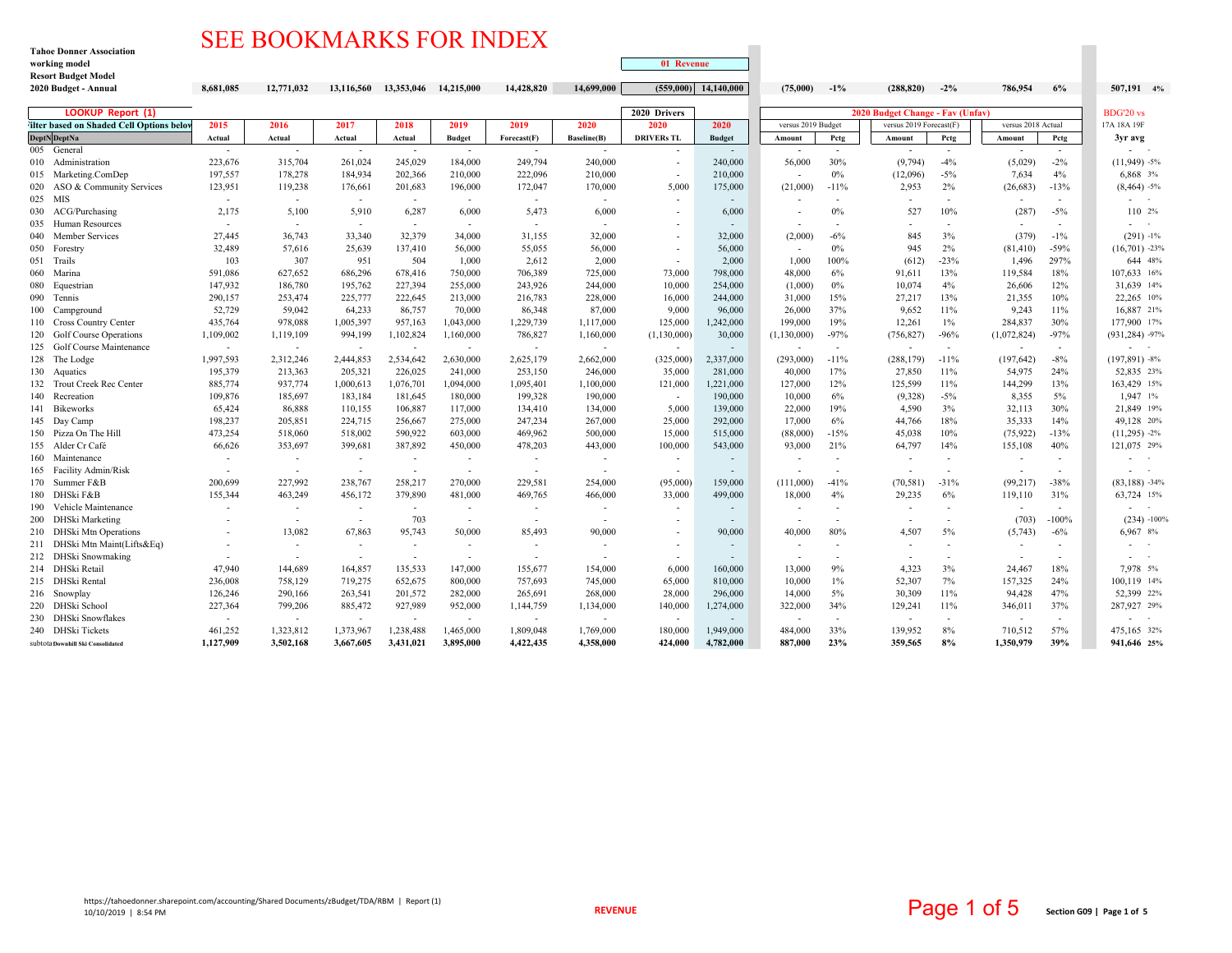## SEE BOOKMARKS FOR INDEX

**Tahoe Donner Association**

| working model                                         |                          |                          |                          |                          |                          |                   |                          | 01 Revenue               |                   |                          |                          |                         |                          |                          |                          |                                                           |
|-------------------------------------------------------|--------------------------|--------------------------|--------------------------|--------------------------|--------------------------|-------------------|--------------------------|--------------------------|-------------------|--------------------------|--------------------------|-------------------------|--------------------------|--------------------------|--------------------------|-----------------------------------------------------------|
| <b>Resort Budget Model</b>                            |                          |                          |                          |                          |                          |                   |                          |                          |                   |                          |                          |                         | $-2\%$                   |                          |                          |                                                           |
| 2020 Budget - Annual                                  | 8,681,085                | 12,771,032               | 13,116,560               | 13,353,046               | 14,215,000               | 14,428,820        | 14,699,000               | (559,000)                | 14,140,000        | (75,000)                 | $-1\%$                   | (288, 820)              |                          | 786,954                  | 6%                       | 507,191 4%                                                |
| <b>LOOKUP Report (1)</b>                              |                          |                          |                          |                          |                          |                   |                          | 2020 Drivers             |                   |                          | <b>BDG'20 vs</b>         |                         |                          |                          |                          |                                                           |
| 'ilter based on Shaded Cell Options belov             | 2015                     | 2016                     | 2017                     | 2018                     | 2019                     | 2019              | 2020                     | 2020                     | 2020              | versus 2019 Budget       |                          | versus 2019 Forecast(F) |                          | versus 2018 Actual       |                          | 17A 18A 19F                                               |
| <b>DeptN</b> DeptNa                                   | Actual                   | Actual                   | Actual                   | Actual                   | <b>Budget</b>            | Forecast(F)       | Baseline(B)              | <b>DRIVERs TL</b>        | <b>Budget</b>     | Amount                   | Petg                     | Amount                  | Pctg                     | Amount                   | Pctg                     | 3vr avg                                                   |
| 005 General                                           | $\sim$                   | $\sim$                   | $\sim$                   | $\sim$                   | $\sim$                   | $\sim$            |                          |                          | $\sim$            |                          | $\sim$                   | $\sim$                  | $\sim$                   | $\overline{\phantom{a}}$ | $\sim$                   |                                                           |
| 010 Administration                                    | 223,676                  | 315,704                  | 261,024                  | 245,029                  | 184,000                  | 249,794           | 240,000                  | $\overline{\phantom{a}}$ | 240,000           | 56,000                   | 30%                      | (9,794)                 | $-4%$                    | (5,029)                  | $-2\%$                   | $(11,949) -5%$                                            |
| 015 Marketing.ComDep                                  | 197,557                  | 178,278                  | 184,934                  | 202,366                  | 210,000                  | 222,096           | 210,000                  | $\overline{\phantom{a}}$ | 210,000           | $\overline{\phantom{a}}$ | 0%                       | (12,096)                | $-5%$                    | 7,634                    | 4%                       | 6,868 3%                                                  |
| ASO & Community Services<br>020                       | 123,951                  | 119,238                  | 176,661                  | 201,683                  | 196,000                  | 172,047           | 170,000                  | 5,000                    | 175,000           | (21,000)                 | $-11%$                   | 2,953                   | 2%                       | (26, 683)                | $-13%$                   | $(8,464) -5%$                                             |
| 025 MIS                                               | $\sim$                   | $\sim$                   | $\sim$                   | $\sim$                   | $\sim$                   | $\sim$            | $\sim$                   |                          | $\sim$            |                          | $\sim$                   |                         | $\overline{\phantom{a}}$ | $\overline{\phantom{a}}$ |                          | $\sim$ 100 $\sim$ 100 $\sim$                              |
| 030 ACG/Purchasing                                    | 2,175                    | 5,100                    | 5,910                    | 6,287                    | 6,000                    | 5,473             | 6,000                    |                          | 6,000             |                          | $0\%$                    | 527                     | 10%                      | (287)                    | $-5%$                    | 110 2%                                                    |
| 035 Human Resources                                   | $\sim$                   |                          |                          | $\overline{\phantom{a}}$ | $\sim$                   | $\sim$            | $\overline{\phantom{a}}$ |                          |                   | $\overline{\phantom{a}}$ |                          |                         |                          |                          |                          | $\mathcal{L}_{\text{max}}$ and $\mathcal{L}_{\text{max}}$ |
| <b>Member Services</b><br>040                         | 27,445                   | 36,743                   | 33,340                   | 32,379                   | 34.000                   | 31,155            | 32,000                   |                          | 32,000            | (2,000)                  | $-6%$                    | 845                     | 3%                       | (379)                    | $-1\%$                   | $(291) -1%$                                               |
| 050<br>Forestry                                       | 32,489                   | 57,616                   | 25,639                   | 137,410                  | 56,000                   | 55,055            | 56,000                   | $\overline{\phantom{a}}$ | 56,000            | $\overline{\phantom{a}}$ | $0\%$                    | 945                     | 2%                       | (81, 410)                | $-59%$                   | $(16,701)$ -23%                                           |
| 051 Trails                                            | 103                      | 307                      | 951                      | 504                      | 1,000                    | 2,612             | 2,000                    | $\overline{\phantom{a}}$ | 2,000             | 1,000                    | 100%                     | (612)                   | $-23%$                   | 1,496                    | 297%                     | 644 48%                                                   |
| 060<br>Marina                                         | 591,086                  | 627,652                  | 686,296                  | 678,416                  | 750,000                  | 706,389           | 725,000                  | 73,000                   | 798,000           | 48,000                   | 6%                       | 91.611                  | 13%                      | 119,584                  | 18%                      | 107,633 16%                                               |
| 080<br>Equestrian                                     | 147,932                  | 186,780                  | 195,762                  | 227,394                  | 255,000                  | 243,926           | 244,000                  | 10,000                   | 254,000           | (1,000)                  | 0%                       | 10,074                  | 4%                       | 26,606                   | 12%                      | 31,639 14%                                                |
| 090 Tennis<br>100 Campground                          | 290,157<br>52,729        | 253,474<br>59,042        | 225,777<br>64,233        | 222,645<br>86,757        | 213,000<br>70,000        | 216,783<br>86,348 | 228,000<br>87,000        | 16,000<br>9,000          | 244,000<br>96,000 | 31,000<br>26,000         | 15%<br>37%               | 27,217<br>9.652         | 13%<br>11%               | 21,355<br>9,243          | 10%<br>11%               | 22,265 10%<br>16.887 21%                                  |
| 110 Cross Country Center                              | 435,764                  | 978,088                  | 1,005,397                | 957,163                  | 1,043,000                | 1,229,739         | 1,117,000                | 125,000                  | 1,242,000         | 199,000                  | 19%                      | 12,261                  | $1\%$                    | 284,837                  | 30%                      | 177.900 17%                                               |
| 120 Golf Course Operations                            | 1,109,002                | 1,119,109                | 994,199                  | 1,102,824                | 1,160,000                | 786,827           | 1,160,000                | (1, 130, 000)            | 30,000            | (1, 130, 000)            | $-97%$                   | (756, 827)              | $-96%$                   | (1,072,824)              | $-97%$                   | $(931, 284)$ -97%                                         |
| 125 Golf Course Maintenance                           | $\sim$                   |                          |                          |                          |                          | $\sim$            | $\overline{\phantom{a}}$ | $\overline{\phantom{a}}$ | $\sim$            |                          |                          |                         | $\overline{\phantom{a}}$ | $\overline{\phantom{a}}$ |                          | - -                                                       |
| 128 The Lodge                                         | 1,997,593                | 2,312,246                | 2,444,853                | 2,534,642                | 2,630,000                | 2,625,179         | 2,662,000                | (325,000)                | 2,337,000         | (293,000)                | $-11%$                   | (288, 179)              | $-11%$                   | (197, 642)               | $-8%$                    | $(197,891) - 8%$                                          |
| 130 Aquatics                                          | 195,379                  | 213,363                  | 205,321                  | 226,025                  | 241,000                  | 253,150           | 246,000                  | 35,000                   | 281,000           | 40,000                   | 17%                      | 27,850                  | 11%                      | 54,975                   | 24%                      | 52,835 23%                                                |
| 132 Trout Creek Rec Center                            | 885,774                  | 937,774                  | 1,000,613                | 1,076,701                | 1.094.000                | 1,095,401         | 1,100,000                | 121,000                  | 1,221,000         | 127,000                  | 12%                      | 125,599                 | 11%                      | 144,299                  | 13%                      | 163.429 15%                                               |
| 140 Recreation                                        | 109,876                  | 185,697                  | 183,184                  | 181,645                  | 180,000                  | 199,328           | 190,000                  | $\sim$                   | 190,000           | 10,000                   | 6%                       | (9,328)                 | $-5%$                    | 8,355                    | 5%                       | 1,947 1%                                                  |
| 141<br>Bikeworks                                      | 65,424                   | 86,888                   | 110,155                  | 106,887                  | 117,000                  | 134,410           | 134,000                  | 5,000                    | 139,000           | 22,000                   | 19%                      | 4,590                   | 3%                       | 32,113                   | 30%                      | 21,849 19%                                                |
| 145 Day Camp                                          | 198,237                  | 205,851                  | 224,715                  | 256,667                  | 275,000                  | 247,234           | 267,000                  | 25,000                   | 292,000           | 17,000                   | 6%                       | 44,766                  | 18%                      | 35,333                   | 14%                      | 49,128 20%                                                |
| 150 Pizza On The Hill                                 | 473,254                  | 518,060                  | 518,002                  | 590,922                  | 603,000                  | 469,962           | 500,000                  | 15,000                   | 515,000           | (88,000)                 | $-15%$                   | 45,038                  | 10%                      | (75, 922)                | $-13%$                   | $(11,295) -2%$                                            |
| 155 Alder Cr Café                                     | 66,626                   | 353,697                  | 399,681                  | 387,892                  | 450,000                  | 478,203           | 443.000                  | 100,000                  | 543,000           | 93,000                   | 21%                      | 64,797                  | 14%                      | 155,108                  | 40%                      | 121,075 29%                                               |
| 160 Maintenance                                       | $\overline{\phantom{a}}$ |                          |                          | $\overline{\phantom{a}}$ | $\overline{\phantom{a}}$ | $\sim$            | $\overline{\phantom{a}}$ | $\overline{\phantom{a}}$ | $\sim$            | $\overline{\phantom{a}}$ |                          |                         | $\overline{\phantom{a}}$ | $\overline{\phantom{a}}$ |                          | $\sim$ $\sim$                                             |
| 165 Facility Admin/Risk                               | $\overline{\phantom{a}}$ | $\overline{\phantom{a}}$ | $\overline{\phantom{a}}$ | $\overline{\phantom{a}}$ | $\sim$                   | $\sim$            | $\overline{\phantom{a}}$ | $\overline{\phantom{a}}$ | $\sim$            |                          | $\overline{\phantom{a}}$ |                         | $\overline{a}$           | ٠.                       |                          | $\sim$                                                    |
| 170 Summer F&B                                        | 200,699                  | 227,992                  | 238,767                  | 258,217                  | 270,000                  | 229,581           | 254,000                  | (95,000)                 | 159,000           | (111,000)                | $-41%$                   | (70, 581)               | $-31%$                   | (99, 217)                | $-38%$                   | $(83,188) -34%$                                           |
| DHSki F&B<br>180                                      | 155,344                  | 463,249                  | 456,172                  | 379,890                  | 481,000                  | 469,765           | 466,000                  | 33,000                   | 499,000           | 18,000                   | 4%                       | 29,235                  | 6%                       | 119,110                  | 31%                      | 63,724 15%                                                |
| 190 Vehicle Maintenance                               | $\overline{\phantom{a}}$ | $\overline{\phantom{a}}$ | $\sim$                   | $\sim$                   | $\sim$                   | $\sim$            | $\overline{\phantom{a}}$ | $\overline{\phantom{a}}$ | $\sim$            | $\overline{\phantom{a}}$ | $\overline{\phantom{a}}$ |                         | $\overline{\phantom{a}}$ | $\overline{\phantom{a}}$ | $\overline{\phantom{a}}$ | $\omega_{\rm{max}}$ and $\omega_{\rm{max}}$               |
| 200 DHSki Marketing                                   |                          |                          |                          | 703                      | $\overline{\phantom{a}}$ |                   |                          |                          | $\sim$            | $\overline{\phantom{a}}$ |                          |                         |                          | (703)                    | $-100%$                  | $(234) -100%$                                             |
| 210 DHSki Mtn Operations                              | ÷                        | 13,082                   | 67,863                   | 95,743                   | 50,000                   | 85,493            | 90,000                   | $\overline{\phantom{a}}$ | 90,000            | 40,000                   | 80%                      | 4,507                   | 5%                       | (5,743)                  | $-6\%$                   | 6,967 8%                                                  |
| 211 DHSki Mtn Maint(Lifts&Eq)<br>212 DHSki Snowmaking | $\sim$                   | $\overline{\phantom{a}}$ | $\sim$                   | $\overline{\phantom{a}}$ | $\sim$                   | $\sim$            | $\overline{\phantom{a}}$ |                          |                   | $\overline{\phantom{a}}$ | $\overline{\phantom{a}}$ |                         |                          |                          |                          | $\sim$                                                    |
| 214 DHSki Retail                                      | 47,940                   | 144,689                  | 164,857                  | 135,533                  | 147,000                  | 155,677           | 154,000                  | 6,000                    | 160,000           | 13,000                   | 9%                       | 4,323                   | 3%                       | 24,467                   | 18%                      | $\sim$ 100 $\pm$<br>7,978 5%                              |
| 215 DHSki Rental                                      | 236,008                  | 758,129                  | 719,275                  | 652,675                  | 800,000                  | 757,693           | 745,000                  | 65,000                   | 810,000           | 10,000                   | $1\%$                    | 52,307                  | 7%                       | 157,325                  | 24%                      | 100,119 14%                                               |
| 216 Snowplay                                          | 126,246                  | 290,166                  | 263,541                  | 201,572                  | 282,000                  | 265,691           | 268,000                  | 28,000                   | 296,000           | 14,000                   | 5%                       | 30,309                  | 11%                      | 94,428                   | 47%                      | 52,399 22%                                                |
| DHSki School<br>220                                   | 227,364                  | 799,206                  | 885,472                  | 927,989                  | 952,000                  | 1,144,759         | 1,134,000                | 140,000                  | 1,274,000         | 322,000                  | 34%                      | 129,241                 | 11%                      | 346,011                  | 37%                      | 287,927 29%                                               |
| 230 DHSki Snowflakes                                  | $\sim$                   | $\sim$                   | $\sim$                   | $\sim$                   | $\sim$                   | $\sim$            | $\overline{\phantom{a}}$ | $\overline{\phantom{a}}$ | $\sim$            | $\sim$                   | $\sim$                   |                         | $\overline{\phantom{a}}$ | $\overline{\phantom{a}}$ | $\overline{\phantom{a}}$ | $\sim$                                                    |
| 240 DHSki Tickets                                     | 461,252                  | 1,323,812                | 1,373,967                | 1,238,488                | 1,465,000                | 1,809,048         | 1,769,000                | 180,000                  | 1,949,000         | 484,000                  | 33%                      | 139.952                 | 8%                       | 710,512                  | 57%                      | 475.165 32%                                               |
| subtota Downhill Ski Consolidated                     | 1,127,909                | 3,502,168                | 3.667.605                | 3.431.021                | 3.895.000                | 4,422,435         | 4.358,000                | 424,000                  | 4.782.000         | 887,000                  | 23%                      | 359.565                 | 8%                       | 1,350,979                | 39%                      | 941,646 25%                                               |
|                                                       |                          |                          |                          |                          |                          |                   |                          |                          |                   |                          |                          |                         |                          |                          |                          |                                                           |

 $\overline{\phantom{a}}$ 

 $\mathcal{L}_{\mathcal{A}}$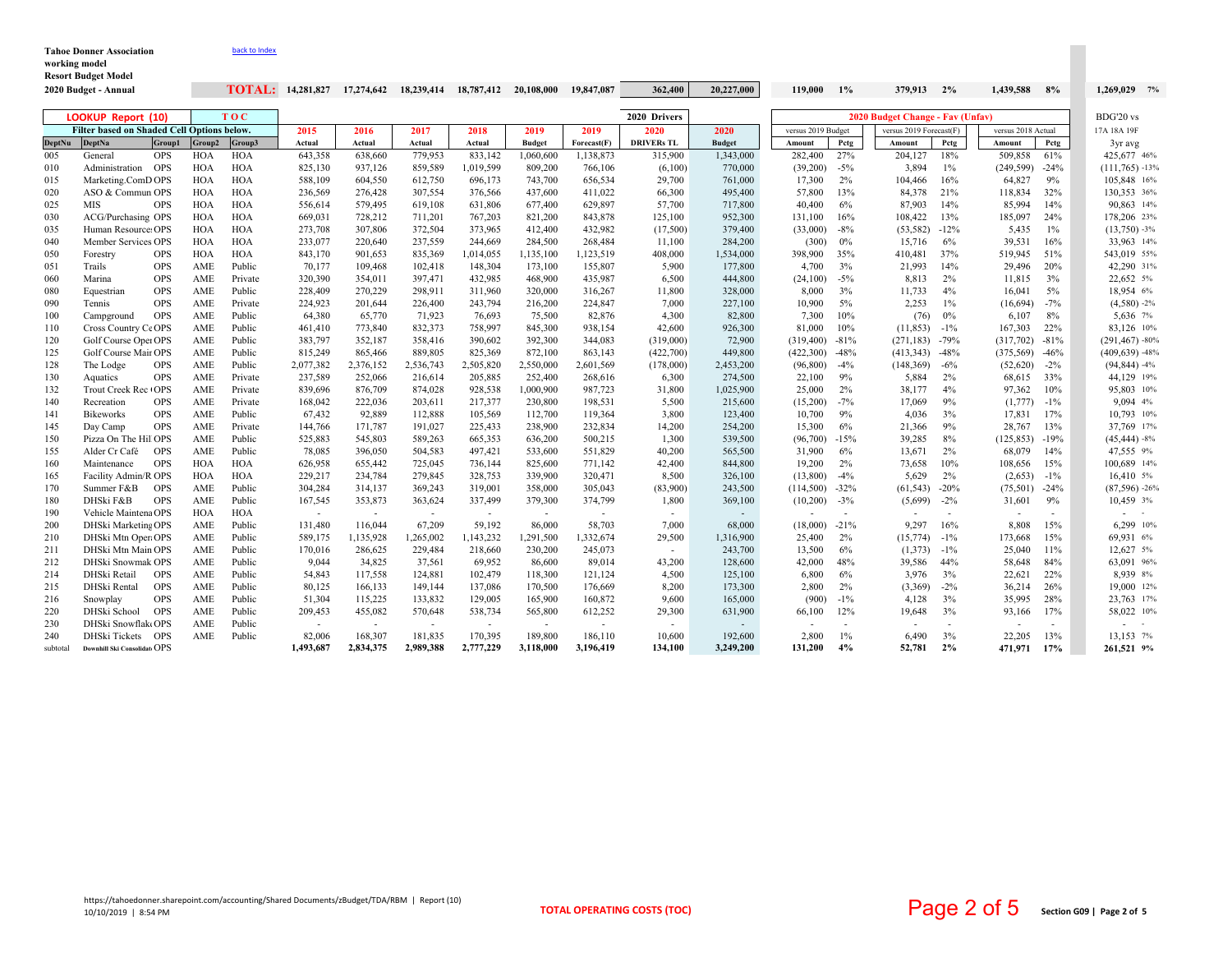| <b>Tahoe Donner Association</b>             |                                                   |            | back to Index |            |                          |                                                      |                          |                       |                          |             |                          |               |                    |        |                         |                          |                    |                          |                    |  |
|---------------------------------------------|---------------------------------------------------|------------|---------------|------------|--------------------------|------------------------------------------------------|--------------------------|-----------------------|--------------------------|-------------|--------------------------|---------------|--------------------|--------|-------------------------|--------------------------|--------------------|--------------------------|--------------------|--|
| working model<br><b>Resort Budget Model</b> |                                                   |            |               |            |                          |                                                      |                          |                       |                          |             |                          |               |                    |        |                         |                          |                    |                          |                    |  |
|                                             | 2020 Budget - Annual                              |            |               |            |                          | <b>TOTAL:</b> $14,281,827$ $17,274,642$ $18,239,414$ |                          | 18,787,412 20,108,000 |                          | 19,847,087  | 362,400                  | 20,227,000    | 119.000            | $1\%$  | 379,913 2%              |                          | 1,439,588          | 8%                       | 1.269.029 7%       |  |
|                                             |                                                   |            |               |            |                          |                                                      |                          |                       |                          |             |                          |               |                    |        |                         |                          |                    |                          |                    |  |
|                                             | <b>LOOKUP Report (10)</b>                         |            |               | <b>TOC</b> |                          | 2020 Drivers<br>2020 Budget Change - Fav (Unfav)     |                          |                       |                          |             |                          |               |                    |        |                         | BDG'20 vs                |                    |                          |                    |  |
|                                             | <b>Filter based on Shaded Cell Options below.</b> |            |               |            | 2015                     | 2016                                                 | 2017                     | 2018                  | 2019                     | 2019        | 2020                     | 2020          | versus 2019 Budget |        | versus 2019 Forecast(F) |                          | versus 2018 Actual |                          | 17A 18A 19F        |  |
| <b>DeptNu</b>                               | <b>DeptNa</b>                                     | Group!     | Group2        | Group3     | Actual                   | Actual                                               | Actual                   | Actual                | <b>Budget</b>            | Forecast(F) | <b>DRIVERs TL</b>        | <b>Budget</b> | Amount             | Petg   | Amount                  | Pctg                     | Amount             | Pctg                     | 3yr avg            |  |
| 005                                         | General                                           | <b>OPS</b> | <b>HOA</b>    | <b>HOA</b> | 643,358                  | 638,660                                              | 779,953                  | 833,142               | 1,060,600                | 1,138,873   | 315,900                  | 1,343,000     | 282,400            | 27%    | 204,127                 | 18%                      | 509,858            | 61%                      | 425.677 46%        |  |
| 010                                         | Administration OPS                                |            | <b>HOA</b>    | <b>HOA</b> | 825,130                  | 937,126                                              | 859,589                  | 1,019,599             | 809,200                  | 766,106     | (6,100)                  | 770,000       | (39,200)           | $-5%$  | 3,894                   | $1\%$                    | (249, 599)         | $-24%$                   | $(111, 765) -13%$  |  |
| 015                                         | Marketing.ComD OPS                                |            | <b>HOA</b>    | HOA        | 588,109                  | 604,550                                              | 612,750                  | 696,173               | 743,700                  | 656,534     | 29,700                   | 761,000       | 17,300             | 2%     | 104,466                 | 16%                      | 64,827             | 9%                       | 105,848 16%        |  |
| 020                                         | ASO & Commun OPS                                  |            | HOA           | <b>HOA</b> | 236,569                  | 276,428                                              | 307,554                  | 376,566               | 437,600                  | 411,022     | 66,300                   | 495,400       | 57,800             | 13%    | 84,378                  | 21%                      | 118,834            | 32%                      | 130,353 36%        |  |
| 025                                         | <b>MIS</b>                                        | <b>OPS</b> | HOA           | HOA        | 556,614                  | 579,495                                              | 619,108                  | 631,806               | 677,400                  | 629,897     | 57,700                   | 717,800       | 40,400             | 6%     | 87,903                  | 14%                      | 85,994             | 14%                      | 90,863 14%         |  |
| 030                                         | ACG/Purchasing OPS                                |            | HOA           | <b>HOA</b> | 669,031                  | 728,212                                              | 711,201                  | 767,203               | 821,200                  | 843,878     | 125,100                  | 952,300       | 131,100            | 16%    | 108,422                 | 13%                      | 185,097            | 24%                      | 178,206 23%        |  |
| 035                                         | Human Resource: OPS                               |            | HOA           | HOA        | 273,708                  | 307,806                                              | 372,504                  | 373,965               | 412,400                  | 432,982     | (17,500)                 | 379,400       | (33,000)           | $-8%$  | (53, 582)               | $-12%$                   | 5,435              | $1\%$                    | $(13,750) -3%$     |  |
| 040                                         | Member Services OPS                               |            | HOA           | <b>HOA</b> | 233,077                  | 220,640                                              | 237,559                  | 244,669               | 284,500                  | 268,484     | 11,100                   | 284,200       | (300)              | 0%     | 15,716                  | 6%                       | 39,531             | 16%                      | 33,963 14%         |  |
| 050                                         | Forestry                                          | <b>OPS</b> | <b>HOA</b>    | <b>HOA</b> | 843,170                  | 901,653                                              | 835,369                  | 1,014,055             | 1,135,100                | 1,123,519   | 408,000                  | 1,534,000     | 398,900            | 35%    | 410,481                 | 37%                      | 519,945            | 51%                      | 543,019 55%        |  |
| 051                                         | Trails                                            | <b>OPS</b> | AME           | Public     | 70,177                   | 109,468                                              | 102,418                  | 148,304               | 173,100                  | 155,807     | 5,900                    | 177,800       | 4,700              | 3%     | 21,993                  | 14%                      | 29,496             | 20%                      | 42,290 31%         |  |
| 060                                         | Marina                                            | <b>OPS</b> | AME           | Private    | 320,390                  | 354,011                                              | 397,471                  | 432,985               | 468,900                  | 435,987     | 6,500                    | 444,800       | (24,100)           | $-5%$  | 8,813                   | 2%                       | 11,815             | 3%                       | 22,652 5%          |  |
| 080                                         | Equestrian                                        | <b>OPS</b> | AME           | Public     | 228,409                  | 270,229                                              | 298,911                  | 311,960               | 320,000                  | 316,267     | 11,800                   | 328,000       | 8,000              | 3%     | 11,733                  | 4%                       | 16,041             | 5%                       | 18,954 6%          |  |
| 090                                         | Tennis                                            | <b>OPS</b> | AME           | Private    | 224,923                  | 201,644                                              | 226,400                  | 243,794               | 216,200                  | 224,847     | 7,000                    | 227,100       | 10,900             | 5%     | 2,253                   | 1%                       | (16,694)           | $-7%$                    | $(4,580) -2%$      |  |
| 100                                         | Campground                                        | <b>OPS</b> | AME           | Public     | 64,380                   | 65,770                                               | 71,923                   | 76,693                | 75,500                   | 82,876      | 4,300                    | 82,800        | 7,300              | 10%    | (76)                    | 0%                       | 6,107              | 8%                       | 5,636 7%           |  |
| 110                                         | Cross Country CeOPS                               |            | AME           | Public     | 461,410                  | 773,840                                              | 832,373                  | 758,997               | 845,300                  | 938,154     | 42,600                   | 926,300       | 81,000             | 10%    | (11, 853)               | $-1\%$                   | 167,303            | 22%                      | 83,126 10%         |  |
| 120                                         | Golf Course Oper OPS                              |            | AME           | Public     | 383,797                  | 352,187                                              | 358,416                  | 390,602               | 392,300                  | 344,083     | (319,000)                | 72,900        | (319, 400)         | $-81%$ | (271, 183)              | $-79%$                   | (317,702)          | $-81%$                   | $(291, 467) - 80%$ |  |
| 125                                         | Golf Course Mair OPS                              |            | AME           | Public     | 815,249                  | 865,466                                              | 889,805                  | 825,369               | 872,100                  | 863,143     | (422,700)                | 449,800       | (422,300)          | $-48%$ | (413, 343)              | $-48%$                   | (375, 569)         | $-46%$                   | $(409, 639) - 48%$ |  |
| 128                                         | The Lodge                                         | <b>OPS</b> | AME           | Public     | 2,077,382                | 2,376,152                                            | 2,536,743                | 2,505,820             | 2,550,000                | 2,601,569   | (178,000)                | 2,453,200     | (96, 800)          | $-4%$  | (148, 369)              | $-6%$                    | (52,620)           | $-2%$                    | $(94, 844) -4%$    |  |
| 130                                         | Aquatics                                          | <b>OPS</b> | AME           | Private    | 237,589                  | 252,066                                              | 216,614                  | 205,885               | 252,400                  | 268,616     | 6,300                    | 274,500       | 22,100             | 9%     | 5,884                   | 2%                       | 68,615             | 33%                      | 44,129 19%         |  |
| 132                                         | Trout Creek Rec (OPS                              |            | AME           | Private    | 839,696                  | 876,709                                              | 874,028                  | 928,538               | 1,000,900                | 987,723     | 31,800                   | 1,025,900     | 25,000             | 2%     | 38,177                  | 4%                       | 97,362             | 10%                      | 95,803 10%         |  |
| 140                                         | Recreation                                        | <b>OPS</b> | AME           | Private    | 168,042                  | 222,036                                              | 203,611                  | 217,377               | 230,800                  | 198,531     | 5,500                    | 215,600       | (15,200)           | $-7%$  | 17,069                  | 9%                       | (1,777)            | $-1\%$                   | 9.094 4%           |  |
| 141                                         | <b>Bikeworks</b>                                  | <b>OPS</b> | AME           | Public     | 67,432                   | 92,889                                               | 112,888                  | 105,569               | 112,700                  | 119,364     | 3,800                    | 123,400       | 10,700             | 9%     | 4,036                   | 3%                       | 17,831             | 17%                      | 10,793 10%         |  |
| 145                                         | Day Camp                                          | <b>OPS</b> | AME           | Private    | 144,766                  | 171,787                                              | 191,027                  | 225,433               | 238,900                  | 232,834     | 14,200                   | 254,200       | 15,300             | 6%     | 21,366                  | 9%                       | 28,767             | 13%                      | 37,769 17%         |  |
| 150                                         | Pizza On The Hill OPS                             |            | AME           | Public     | 525,883                  | 545,803                                              | 589,263                  | 665,353               | 636,200                  | 500,215     | 1,300                    | 539,500       | (96,700)           | $-15%$ | 39,285                  | 8%                       | (125, 853)         | $-19%$                   | $(45, 444) - 8%$   |  |
| 155                                         | Alder Cr Café                                     | <b>OPS</b> | AME           | Public     | 78,085                   | 396,050                                              | 504,583                  | 497,421               | 533,600                  | 551,829     | 40,200                   | 565,500       | 31,900             | 6%     | 13,671                  | 2%                       | 68,079             | 14%                      | 47,555 9%          |  |
| 160                                         | Maintenance                                       | <b>OPS</b> | <b>HOA</b>    | <b>HOA</b> | 626,958                  | 655,442                                              | 725,045                  | 736,144               | 825,600                  | 771,142     | 42,400                   | 844,800       | 19,200             | 2%     | 73,658                  | 10%                      | 108,656            | 15%                      | 100,689 14%        |  |
| 165                                         | Facility Admin/R OPS                              |            | <b>HOA</b>    | <b>HOA</b> | 229,217                  | 234,784                                              | 279,845                  | 328,753               | 339,900                  | 320,471     | 8,500                    | 326,100       | (13,800)           | $-4%$  | 5,629                   | 2%                       | (2,653)            | $-1\%$                   | 16,410 5%          |  |
| 170                                         | Summer F&B                                        | <b>OPS</b> | AME           | Public     | 304,284                  | 314,137                                              | 369,243                  | 319,001               | 358,000                  | 305,043     | (83,900)                 | 243,500       | (114,500)          | $-32%$ | (61, 543)               | $-20%$                   | (75, 501)          | $-24%$                   | $(87,596) -26%$    |  |
| 180                                         | DHSki F&B                                         | <b>OPS</b> | AME           | Public     | 167,545                  | 353,873                                              | 363,624                  | 337,499               | 379,300                  | 374,799     | 1,800                    | 369,100       | (10,200)           | $-3%$  | (5,699)                 | $-2\%$                   | 31,601             | 9%                       | 10,459 3%          |  |
| 190                                         | Vehicle Maintena OPS                              |            | <b>HOA</b>    | <b>HOA</b> | $\sim$                   | $\sim$                                               | $\sim$                   | $\sim$                | $\sim$                   | $\sim$      |                          |               |                    |        |                         | $\overline{\phantom{a}}$ | $\sim$             | $\overline{\phantom{a}}$ | $\sim$ $-$         |  |
| 200                                         | DHSki Marketing OPS                               |            | AME           | Public     | 131,480                  | 116,044                                              | 67,209                   | 59,192                | 86,000                   | 58,703      | 7,000                    | 68,000        | (18,000)           | $-21%$ | 9,297                   | 16%                      | 8,808              | 15%                      | 6,299 10%          |  |
| 210                                         | DHSki Mtn OperaOPS                                |            | AME           | Public     | 589,175                  | 1,135,928                                            | 1,265,002                | 1,143,232             | 1,291,500                | 1,332,674   | 29,500                   | 1,316,900     | 25,400             | 2%     | (15, 774)               | $-1\%$                   | 173,668            | 15%                      | 69,931 6%          |  |
| 211                                         | DHSki Mtn Main OPS                                |            | AME           | Public     | 170,016                  | 286,625                                              | 229,484                  | 218,660               | 230,200                  | 245,073     | $\sim$                   | 243,700       | 13,500             | 6%     | (1,373)                 | $-1\%$                   | 25,040             | 11%                      | 12,627 5%          |  |
| 212                                         | DHSki Snowmak OPS                                 |            | AME           | Public     | 9,044                    | 34,825                                               | 37,561                   | 69,952                | 86,600                   | 89,014      | 43,200                   | 128,600       | 42,000             | 48%    | 39,586                  | 44%                      | 58,648             | 84%                      | 63,091 96%         |  |
| 214                                         | DHSki Retail                                      | <b>OPS</b> | AME           | Public     | 54,843                   | 117,558                                              | 124,881                  | 102,479               | 118,300                  | 121,124     | 4,500                    | 125,100       | 6,800              | 6%     | 3,976                   | 3%                       | 22,621             | 22%                      | 8,939 8%           |  |
| 215                                         | DHSki Rental                                      | <b>OPS</b> | AME           | Public     | 80,125                   | 166,133                                              | 149,144                  | 137,086               | 170,500                  | 176,669     | 8,200                    | 173,300       | 2,800              | 2%     | (3,369)                 | $-2\%$                   | 36,214             | 26%                      | 19,000 12%         |  |
| 216                                         | Snowplay                                          | <b>OPS</b> | AME           | Public     | 51,304                   | 115,225                                              | 133,832                  | 129,005               | 165,900                  | 160,872     | 9,600                    | 165,000       | (900)              | $-1\%$ | 4,128                   | 3%                       | 35,995             | 28%                      | 23,763 17%         |  |
| 220                                         | DHSki School                                      | <b>OPS</b> | AME           | Public     | 209,453                  | 455,082                                              | 570,648                  | 538,734               | 565,800                  | 612,252     | 29,300                   | 631,900       | 66,100             | 12%    | 19,648                  | 3%                       | 93,166             | 17%                      | 58,022 10%         |  |
| 230                                         | DHSki SnowflakeOPS                                |            | AME           | Public     | $\overline{\phantom{a}}$ | $\overline{\phantom{a}}$                             | $\overline{\phantom{a}}$ | $\overline{a}$        | $\overline{\phantom{a}}$ | ٠           | $\overline{\phantom{a}}$ |               |                    |        |                         |                          | $\blacksquare$     |                          | $\sim$             |  |
| 240                                         | DHSki Tickets OPS                                 |            | AME           | Public     | 82,006                   | 168,307                                              | 181,835                  | 170,395               | 189,800                  | 186,110     | 10,600                   | 192,600       | 2.800              | 1%     | 6.490                   | 3%                       | 22.205             | 13%                      | 13,153 7%          |  |
| subtotal                                    | Downhill Ski Consolidatı OPS                      |            |               |            | 1,493,687                | 2,834,375                                            | 2.989.388                | 2,777,229             | 3,118,000                | 3,196,419   | 134.100                  | 3,249,200     | 131.200            | 4%     | 52.781                  | 2%                       | 471.971            | 17%                      | 261,521 9%         |  |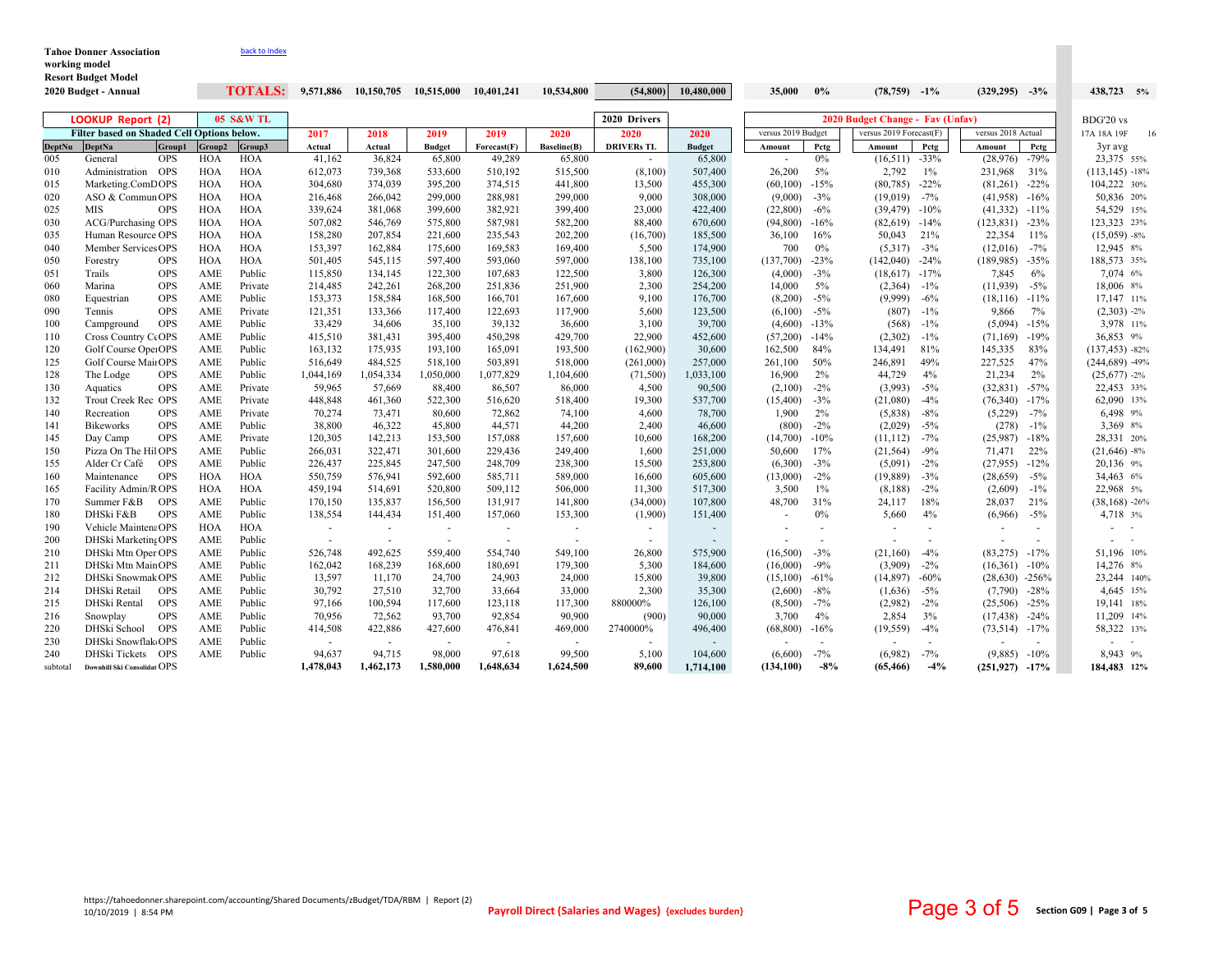| <b>Tahoe Donner Association</b><br>working model<br><b>Resort Budget Model</b> | back to Index             |                                   |                               |                                 |                               |                               |                                               |                                     |        |       |                                  |  |                    |  |            |  |
|--------------------------------------------------------------------------------|---------------------------|-----------------------------------|-------------------------------|---------------------------------|-------------------------------|-------------------------------|-----------------------------------------------|-------------------------------------|--------|-------|----------------------------------|--|--------------------|--|------------|--|
| 2020 Budget - Annual                                                           | <b>TOTALS:</b>            | 9,571,886                         | 10,150,705                    | 10.515.000                      | 10.401.241                    | 10.534.800                    |                                               | $(54,800)$ 10,480,000               | 35,000 | $0\%$ | $(78, 759)$ $-1\%$               |  | $(329,295)$ $-3\%$ |  | 438,723 5% |  |
| LOOKUP Report (2)                                                              | <b>05 S&amp;W TL</b><br>. | the company's company's company's | the company of the company of | the contract of the contract of | the company of the company of | the company of the company of | 2020 Drivers<br>the company of the company of | the state of the state of the state |        |       | 2020 Budget Change - Fav (Unfav) |  |                    |  | BDG'20 vs  |  |

|               | Filter based on Shaded Cell Options below. |            |            |            |           | 2018                     | 2019          | 2019        | 2020        | 2020              | 2020          | versus 2019 Budget |                          | versus 2019 Forecast(F) |        | versus 2018 Actual |         | 17A 18A 19F<br>16. |
|---------------|--------------------------------------------|------------|------------|------------|-----------|--------------------------|---------------|-------------|-------------|-------------------|---------------|--------------------|--------------------------|-------------------------|--------|--------------------|---------|--------------------|
| <b>DeptNu</b> | <b>DeptNa</b>                              | Group1     | Group2     | Group3     | Actual    | Actual                   | <b>Budget</b> | Forecast(F) | Baseline(B) | <b>DRIVERs TL</b> | <b>Budget</b> | Amount             | Petg                     | Amount                  | Petg   | Amount             | Petg    | 3yr avg            |
| 005           | General                                    | <b>OPS</b> | <b>HOA</b> | HOA        | 41,162    | 36,824                   | 65,800        | 49,289      | 65,800      |                   | 65,800        |                    | 0%                       | (16, 511)               | $-33%$ | (28,976)           | $-79%$  | 23,375 55%         |
| 010           | Administration OPS                         |            | HOA        | <b>HOA</b> | 612,073   | 739,368                  | 533,600       | 510,192     | 515,500     | (8,100)           | 507,400       | 26,200             | 5%                       | 2,792                   | $1\%$  | 231,968            | 31%     | $(113, 145) - 18%$ |
| 015           | Marketing.ComDOPS                          |            | <b>HOA</b> | HOA        | 304,680   | 374,039                  | 395,200       | 374,515     | 441,800     | 13,500            | 455,300       | (60, 100)          | $-15%$                   | (80, 785)               | $-22%$ | $(81,261)$ -22%    |         | 104,222 30%        |
| 020           | ASO & Commun OPS                           |            | HOA        | HOA        | 216,468   | 266,042                  | 299,000       | 288,981     | 299,000     | 9,000             | 308,000       | (9,000)            | $-3%$                    | (19,019)                | $-7%$  | (41,958)           | $-16%$  | 50,836 20%         |
| 025           | MIS                                        | <b>OPS</b> | HOA        | HOA        | 339,624   | 381,068                  | 399,600       | 382,921     | 399,400     | 23,000            | 422,400       | (22,800)           | $-6\%$                   | (39, 479)               | $-10%$ | (41, 332)          | $-11\%$ | 54,529 15%         |
| 030           | <b>ACG/Purchasing OPS</b>                  |            | HOA        | HOA        | 507,082   | 546,769                  | 575,800       | 587,981     | 582,200     | 88,400            | 670,600       | (94,800)           | $-16%$                   | (82, 619)               | $-14%$ | (123, 831)         | $-23%$  | 123,323 23%        |
| 035           | Human Resource OPS                         |            | HOA        | <b>HOA</b> | 158,280   | 207,854                  | 221,600       | 235,543     | 202,200     | (16,700)          | 185,500       | 36,100             | 16%                      | 50,043                  | 21%    | 22,354             | 11%     | $(15,059) - 8\%$   |
| 040           | Member Services OPS                        |            | HOA        | HOA        | 153,397   | 162,884                  | 175,600       | 169,583     | 169,400     | 5,500             | 174,900       | 700                | 0%                       | (5,317)                 | $-3%$  | (12,016)           | $-7%$   | 12,945 8%          |
| 050           | Forestry                                   | <b>OPS</b> | HOA        | <b>HOA</b> | 501,405   | 545,115                  | 597,400       | 593,060     | 597,000     | 138,100           | 735,100       | (137,700)          | $-23%$                   | (142,040)               | $-24%$ | (189, 985)         | $-35%$  | 188,573 35%        |
| 051           | Trails                                     | <b>OPS</b> | AME        | Public     | 115,850   | 134,145                  | 122,300       | 107,683     | 122,500     | 3,800             | 126,300       | (4,000)            | $-3%$                    | (18,617)                | $-17%$ | 7,845              | 6%      | 7,074 6%           |
| 060           | Marina                                     | <b>OPS</b> | AME        | Private    | 214,485   | 242,261                  | 268,200       | 251,836     | 251,900     | 2,300             | 254,200       | 14,000             | 5%                       | (2,364)                 | $-1\%$ | (11,939)           | $-5%$   | 18,006 8%          |
| 080           | Equestrian                                 | <b>OPS</b> | AME        | Public     | 153,373   | 158,584                  | 168,500       | 166,701     | 167,600     | 9,100             | 176,700       | (8,200)            | $-5%$                    | (9,999)                 | $-6%$  | (18, 116)          | $-11%$  | 17,147 11%         |
| 090           | Tennis                                     | <b>OPS</b> | AME        | Private    | 121,351   | 133,366                  | 117,400       | 122,693     | 117,900     | 5,600             | 123,500       | (6,100)            | $-5%$                    | (807)                   | $-1\%$ | 9,866              | 7%      | $(2,303) -2%$      |
| 100           | Campground                                 | <b>OPS</b> | AME        | Public     | 33,429    | 34,606                   | 35,100        | 39,132      | 36,600      | 3,100             | 39,700        | (4,600)            | $-13%$                   | (568)                   | $-1\%$ | (5,094)            | $-15%$  | 3,978 11%          |
| 110           | Cross Country CeOPS                        |            | AME        | Public     | 415,510   | 381,431                  | 395,400       | 450,298     | 429,700     | 22,900            | 452,600       | (57,200)           | $-14%$                   | (2,302)                 | $-1\%$ | (71, 169)          | $-19%$  | 36,853 9%          |
| 120           | Golf Course OperOPS                        |            | AME        | Public     | 163,132   | 175,935                  | 193,100       | 165,091     | 193,500     | (162,900)         | 30,600        | 162,500            | 84%                      | 134,491                 | 81%    | 145,335            | 83%     | $(137, 453) - 82%$ |
| 125           | Golf Course MainOPS                        |            | AME        | Public     | 516,649   | 484,525                  | 518,100       | 503,891     | 518,000     | (261,000)         | 257,000       | 261,100            | 50%                      | 246,891                 | 49%    | 227,525            | 47%     | $(244, 689) -49%$  |
| 128           | The Lodge                                  | <b>OPS</b> | AME        | Public     | 1,044,169 | 1,054,334                | 1,050,000     | 1,077,829   | 1,104,600   | (71,500)          | 1,033,100     | 16,900             | 2%                       | 44,729                  | 4%     | 21,234             | $2\%$   | $(25,677) -2%$     |
| 130           | Aquatics                                   | <b>OPS</b> | AME        | Private    | 59,965    | 57,669                   | 88,400        | 86,507      | 86,000      | 4,500             | 90,500        | (2,100)            | $-2\%$                   | (3,993)                 | $-5%$  | $(32,831)$ -57%    |         | 22,453 33%         |
| 132           | Trout Creek Rec OPS                        |            | AME        | Private    | 448,848   | 461,360                  | 522,300       | 516,620     | 518,400     | 19,300            | 537,700       | (15,400)           | $-3%$                    | (21,080)                | $-4%$  | (76,340)           | $-17%$  | 62,090 13%         |
| 140           | Recreation                                 | <b>OPS</b> | AME        | Private    | 70,274    | 73,471                   | 80,600        | 72,862      | 74,100      | 4,600             | 78,700        | 1,900              | 2%                       | (5,838)                 | $-8%$  | (5,229)            | $-7%$   | 6,498 9%           |
| 141           | <b>Bikeworks</b>                           | <b>OPS</b> | AME        | Public     | 38,800    | 46,322                   | 45,800        | 44,571      | 44,200      | 2,400             | 46,600        | (800)              | $-2\%$                   | (2,029)                 | $-5%$  | (278)              | $-1\%$  | 3,369 8%           |
| 145           | Day Camp                                   | <b>OPS</b> | AME        | Private    | 120,305   | 142,213                  | 153,500       | 157,088     | 157,600     | 10,600            | 168,200       | (14,700)           | $-10%$                   | (11, 112)               | $-7%$  | (25,987)           | $-18%$  | 28,331 20%         |
| 150           | Pizza On The Hil OPS                       |            | AME        | Public     | 266,031   | 322,471                  | 301,600       | 229,436     | 249,400     | 1,600             | 251,000       | 50,600             | 17%                      | (21, 564)               | $-9%$  | 71,471             | 22%     | $(21,646) - 8%$    |
| 155           | Alder Cr Café                              | <b>OPS</b> | AME        | Public     | 226,437   | 225,845                  | 247,500       | 248,709     | 238,300     | 15,500            | 253,800       | (6,300)            | $-3%$                    | (5,091)                 | $-2%$  | (27,955)           | $-12%$  | 20,136 9%          |
| 160           | Maintenance                                | <b>OPS</b> | <b>HOA</b> | <b>HOA</b> | 550,759   | 576,941                  | 592,600       | 585,711     | 589,000     | 16,600            | 605,600       | (13,000)           | $-2\%$                   | (19, 889)               | $-3%$  | (28, 659)          | $-5\%$  | 34,463 6%          |
| 165           | Facility Admin/R OPS                       |            | HOA        | <b>HOA</b> | 459,194   | 514,691                  | 520,800       | 509,112     | 506,000     | 11,300            | 517,300       | 3,500              | $1\%$                    | (8,188)                 | $-2%$  | (2,609)            | $-1\%$  | 22,968 5%          |
| 170           | Summer F&B                                 | <b>OPS</b> | AME        | Public     | 170,150   | 135,837                  | 156,500       | 131,917     | 141,800     | (34,000)          | 107,800       | 48,700             | 31%                      | 24,117                  | 18%    | 28,037             | 21%     | $(38, 168) - 26%$  |
| 180           | DHSki F&B                                  | <b>OPS</b> | AME        | Public     | 138,554   | 144,434                  | 151,400       | 157,060     | 153,300     | (1,900)           | 151,400       |                    | 0%                       | 5,660                   | 4%     | (6,966)            | $-5\%$  | 4,718 3%           |
| 190           | Vehicle MaintenaOPS                        |            | HOA        | HOA        | $\sim$    | $\sim$                   | $\sim$        | $\sim$      | $\sim$      | $\sim$            |               |                    | $\overline{\phantom{a}}$ |                         |        |                    |         | $\sim$ $-$         |
| 200           | DHSki Marketing OPS                        |            | AME        | Public     |           | $\overline{\phantom{a}}$ |               |             |             |                   | $\sim$        |                    |                          |                         |        |                    |         |                    |
| 210           | DHSki Mtn Oper OPS                         |            | AME        | Public     | 526,748   | 492,625                  | 559,400       | 554,740     | 549,100     | 26,800            | 575,900       | (16,500)           | $-3%$                    | (21, 160)               | $-4%$  | (83, 275)          | $-17%$  | 51,196 10%         |
| 211           | DHSki Mtn MainOPS                          |            | AME        | Public     | 162,042   | 168,239                  | 168,600       | 180,691     | 179,300     | 5,300             | 184,600       | (16,000)           | $-9\%$                   | (3,909)                 | $-2\%$ | (16,361)           | $-10%$  | 14,276 8%          |
| 212           | DHSki Snowmak OPS                          |            | AME        | Public     | 13,597    | 11,170                   | 24,700        | 24,903      | 24,000      | 15,800            | 39,800        | (15,100)           | $-61%$                   | (14, 897)               | $-60%$ | $(28,630)$ -256%   |         | 23,244 140%        |
| 214           | DHSki Retail                               | <b>OPS</b> | AME        | Public     | 30,792    | 27,510                   | 32,700        | 33,664      | 33,000      | 2,300             | 35,300        | (2,600)            | $-8\%$                   | (1,636)                 | $-5\%$ | (7,790)            | $-28%$  | 4,645 15%          |
| 215           | DHSki Rental                               | <b>OPS</b> | AME        | Public     | 97,166    | 100,594                  | 117,600       | 123,118     | 117,300     | 880000%           | 126,100       | (8,500)            | $-7\%$                   | (2,982)                 | $-2%$  | (25,506)           | $-25%$  | 19,141 18%         |
| 216           | Snowplay                                   | <b>OPS</b> | AME        | Public     | 70,956    | 72,562                   | 93,700        | 92,854      | 90,900      | (900)             | 90,000        | 3,700              | 4%                       | 2,854                   | 3%     | (17, 438)          | $-24%$  | 11,209 14%         |
| 220           | DHSki School                               | <b>OPS</b> | AME        | Public     | 414,508   | 422,886                  | 427,600       | 476,841     | 469,000     | 2740000%          | 496,400       | (68, 800)          | $-16%$                   | (19, 559)               | $-4%$  | $(73,514) -17\%$   |         | 58,322 13%         |
| 230           | DHSki Snowflak(OPS                         |            | AME        | Public     | $\sim$    | $\sim$                   | $\sim$        | $\sim$      |             |                   | $\sim$        |                    |                          |                         |        |                    |         |                    |
| 240           | DHSki Tickets OPS                          |            | AME        | Public     | 94,637    | 94,715                   | 98,000        | 97,618      | 99,500      | 5,100             | 104,600       | (6,600)            | $-7%$                    | (6,982)                 | $-7%$  | (9,885)            | $-10%$  | 8.943 9%           |
| subtotal      | Downhill Ski Consolidat OPS                |            |            |            | 1,478,043 | 1,462,173                | 1,580,000     | 1,648,634   | 1,624,500   | 89.600            | 1,714,100     | (134, 100)         | $-8%$                    | (65, 466)               | $-4%$  | $(251,927)$ -17%   |         | 184.483 12%        |
|               |                                            |            |            |            |           |                          |               |             |             |                   |               |                    |                          |                         |        |                    |         |                    |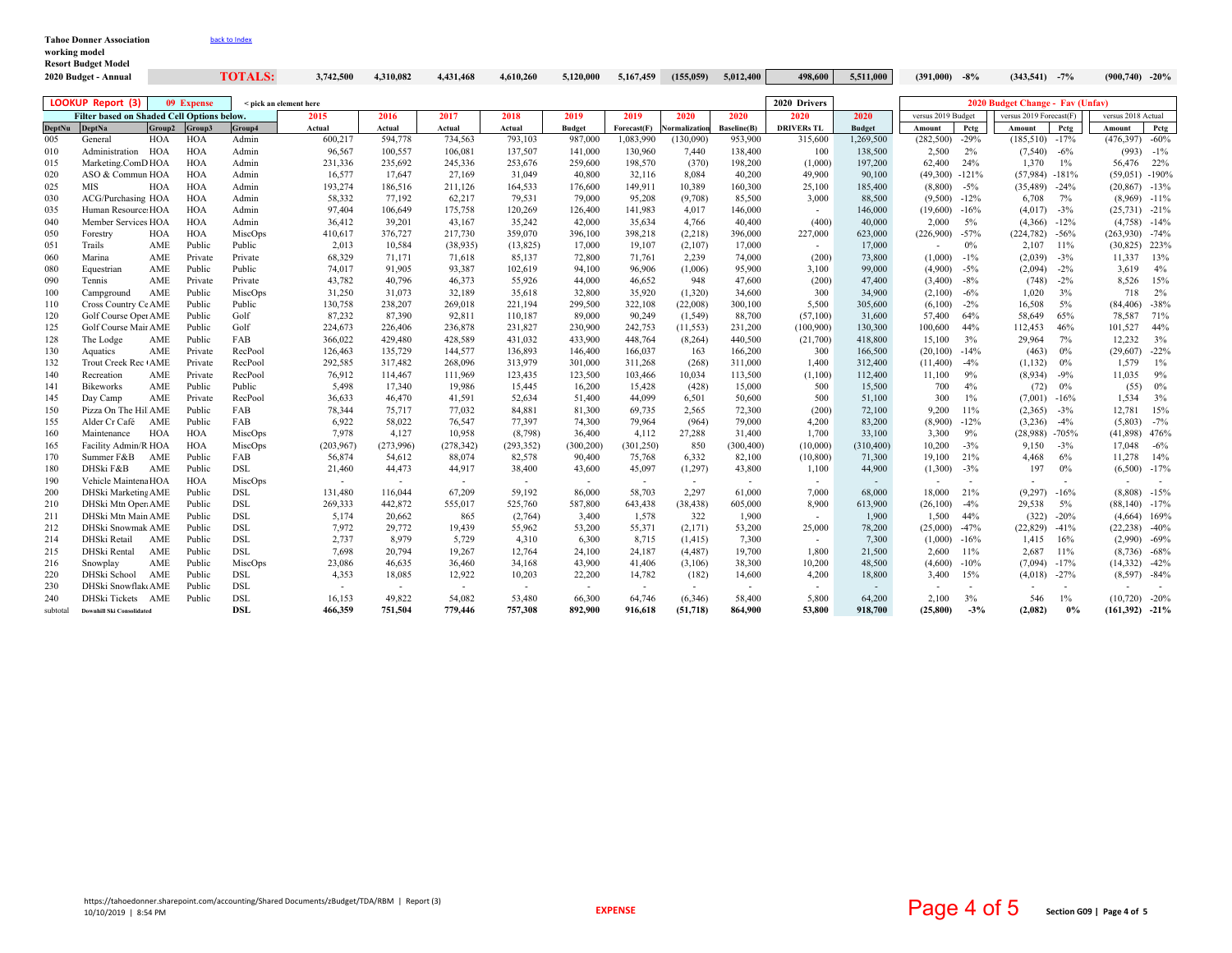| <b>Tahoe Donner Association</b> | back to Index |
|---------------------------------|---------------|
| working model                   |               |
| <b>Resort Budget Model</b>      |               |
|                                 | _____         |

|               | 2020 Budget - Annual                       |        |            | TOTALS:                | 3,742,500  | 4,310,082 | 4,431,468  | 4,610,260  | 5,120,000      | 5,167,459      | (155, 059)  | 5,012,400          | 498,600           | 5,511,000     | (391,000)                | $-8\%$                   | $(343,541)$ -7%                  |                          | $(900, 740)$ -20%        |              |
|---------------|--------------------------------------------|--------|------------|------------------------|------------|-----------|------------|------------|----------------|----------------|-------------|--------------------|-------------------|---------------|--------------------------|--------------------------|----------------------------------|--------------------------|--------------------------|--------------|
|               | <b>LOOKUP Report (3)</b>                   |        | 09 Expense | < pick an element here |            |           |            |            |                |                |             |                    | 2020 Drivers      |               |                          |                          | 2020 Budget Change - Fay (Unfay) |                          |                          |              |
|               | Filter based on Shaded Cell Options below. |        |            |                        | 2015       | 2016      | 2017       | 2018       | 2019           | 2019           | 2020        | 2020               | 2020              | 2020          | versus 2019 Budget       |                          | versus 2019 Forecast(F)          |                          | versus 2018 Actual       |              |
| <b>DeptNu</b> | <b>DeptNa</b>                              | Group2 | Group3     | Group4                 | Actual     | Actual    | Actual     | Actual     | <b>Budget</b>  | Forecast(F)    | ormalizatio | <b>Baseline(B)</b> | <b>DRIVERs TL</b> | <b>Budget</b> | Amount                   | Pctg                     | Amount                           | Petg                     | Amount                   | Petg         |
| 005           | General                                    | HOA    | <b>HOA</b> | Admin                  | 600,217    | 594,778   | 734,563    | 793,103    | 987,000        | 1,083,990      | (130,090)   | 953,900            | 315,600           | 1,269,500     | (282, 500)               | $-29%$                   | $(185,510)$ -17%                 |                          | $(476,397)$ -60%         |              |
| 010           | Administration HOA                         |        | HOA        | Admin                  | 96,567     | 100,557   | 106,081    | 137,507    | 141,000        | 130,960        | 7,440       | 138,400            | 100               | 138,500       | 2,500                    | 2%                       | (7,540)                          | $-6\%$                   |                          | $(993) -1\%$ |
| 015           | Marketing.ComD HOA                         |        | HOA        | Admin                  | 231,336    | 235,692   | 245,336    | 253,676    | 259,600        | 198,570        | (370)       | 198,200            | (1,000)           | 197,200       | 62,400                   | 24%                      | 1,370                            | $1\%$                    | 56,476 22%               |              |
| 020           | ASO & Commun HOA                           |        | <b>HOA</b> | Admin                  | 16,577     | 17,647    | 27,169     | 31,049     | 40,800         | 32,116         | 8,084       | 40,200             | 49,900            | 90,100        | (49,300)                 | $-121%$                  | $(57,984) -181%$                 |                          | $(59,051)$ -190%         |              |
| 025           | MIS                                        | HOA    | HOA        | Admin                  | 193,274    | 186,516   | 211,126    | 164,533    | 176,600        | 149,911        | 10,389      | 160,300            | 25,100            | 185,400       | (8,800)                  | $-5\%$                   | (35, 489)                        | $-24%$                   | $(20,867)$ -13%          |              |
| 030           | ACG/Purchasing HOA                         |        | <b>HOA</b> | Admin                  | 58,332     | 77,192    | 62,217     | 79,531     | 79,000         | 95,208         | (9,708)     | 85,500             | 3,000             | 88,500        | (9,500)                  | $-12%$                   | 6,708                            | 7%                       | $(8,969)$ -11%           |              |
| 035           | Human Resource: HOA                        |        | HOA        | Admin                  | 97,404     | 106,649   | 175,758    | 120,269    | 126,400        | 141,983        | 4,017       | 146,000            | $\sim$            | 146,000       | (19,600)                 | $-16%$                   | (4,017)                          | $-3\%$                   | $(25,731)$ -21%          |              |
| 040           | Member Services HOA                        |        | HOA        | Admin                  | 36,412     | 39,201    | 43,167     | 35,242     | 42,000         | 35,634         | 4,766       | 40,400             | (400)             | 40,000        | 2,000                    | 5%                       | (4,366)                          | $-12%$                   | $(4,758) -14%$           |              |
| 050           | Forestry                                   | HOA    | HOA        | MiscOps                | 410,617    | 376,727   | 217,730    | 359,070    | 396,100        | 398,218        | (2,218)     | 396,000            | 227,000           | 623,000       | (226,900)                | $-57%$                   | (224, 782)                       | $-56%$                   | $(263,930)$ -74%         |              |
| 051           | Trails                                     | AME    | Public     | Public                 | 2,013      | 10,584    | (38, 935)  | (13, 825)  | 17,000         | 19,107         | (2,107)     | 17,000             | $\sim$            | 17,000        |                          | $0\%$                    | 2,107                            | 11%                      | $(30,825)$ 223%          |              |
| 060           | Marina                                     | AME    | Private    | Private                | 68,329     | 71,171    | 71,618     | 85,137     | 72,800         | 71,761         | 2,239       | 74,000             | (200)             | 73,800        | (1,000)                  | $-1\%$                   | (2,039)                          | $-3%$                    | 11,337 13%               |              |
| 080           | Equestrian                                 | AME    | Public     | Public                 | 74,017     | 91,905    | 93,387     | 102,619    | 94,100         | 96,906         | (1,006)     | 95,900             | 3,100             | 99,000        | (4,900)                  | $-5\%$                   | (2,094)                          | $-2\%$                   | 3,619                    | $4\%$        |
| 090           | Tennis                                     | AME    | Private    | Private                | 43,782     | 40,796    | 46,373     | 55,926     | 44,000         | 46,652         | 948         | 47,600             | (200)             | 47,400        | (3,400)                  | $-8\%$                   | (748)                            | $-2\%$                   | 8,526                    | 15%          |
| 100           | Campground                                 | AME    | Public     | MiscOps                | 31,250     | 31,073    | 32,189     | 35,618     | 32,800         | 35,920         | (1,320)     | 34,600             | 300               | 34.900        | (2,100)                  | $-6\%$                   | 1,020                            | 3%                       | 718                      | 2%           |
| 110           | Cross Country Ce AME                       |        | Public     | Public                 | 130,758    | 238,207   | 269,018    | 221,194    | 299,500        | 322,108        | (22,008)    | 300,100            | 5,500             | 305,600       | (6,100)                  | $-2\%$                   | 16,508                           | 5%                       | $(84,406)$ -38%          |              |
| 120           | Golf Course Oper AME                       |        | Public     | Golf                   | 87,232     | 87,390    | 92,811     | 110,187    | 89,000         | 90,249         | (1, 549)    | 88,700             | (57,100)          | 31,600        | 57,400                   | 64%                      | 58,649                           | 65%                      | 78,587                   | 71%          |
| 125           | Golf Course Mair AME                       |        | Public     | Golf                   | 224,673    | 226,406   | 236,878    | 231,827    | 230,900        | 242,753        | (11, 553)   | 231,200            | (100, 900)        | 130,300       | 100,600                  | 44%                      | 112,453                          | 46%                      | 101,527                  | 44%          |
| 128           | The Lodge                                  | AME    | Public     | FAB                    | 366,022    | 429,480   | 428,589    | 431.032    | 433,900        | 448,764        | (8, 264)    | 440,500            | (21,700)          | 418,800       | 15,100                   | 3%                       | 29,964                           | 7%                       | 12.232                   | 3%           |
| 130           | Aquatics                                   | AME    | Private    | RecPool                | 126,463    | 135,729   | 144,577    | 136,893    | 146,400        | 166,037        | 163         | 166,200            | 300               | 166,500       | (20, 100)                | $-14%$                   | (463)                            | $0\%$                    | $(29,607)$ -22%          |              |
| 132           | Trout Creek Rec (AME                       |        | Private    | RecPool                | 292,585    | 317,482   | 268,096    | 313,979    | 301,000        | 311,268        | (268)       | 311,000            | 1,400             | 312,400       | (11,400)                 | $-4\%$                   | (1, 132)                         | 0%                       | 1,579                    | $1\%$        |
| 140           | Recreation                                 | AME    | Private    | RecPool                | 76,912     | 114,467   | 111,969    | 123,435    | 123,500        | 103,466        | 10,034      | 113,500            | (1,100)           | 112,400       | 11,100                   | 9%                       | (8,934)                          | $-9%$                    | 11,035                   | 9%           |
| 141           | <b>Bikeworks</b>                           | AME    | Public     | Public                 | 5,498      | 17,340    | 19,986     | 15,445     | 16,200         | 15,428         | (428)       | 15,000             | 500               | 15,500        | 700                      | 4%                       | (72)                             | $0\%$                    | (55)                     | 0%           |
| 145           | Day Camp                                   | AME    | Private    | RecPool                | 36,633     | 46,470    | 41,591     | 52,634     | 51,400         | 44,099         | 6,501       | 50,600             | 500               | 51,100        | 300                      | $1\%$                    | (7,001)                          | $-16%$                   | 1,534                    | 3%           |
| 150           | Pizza On The Hil AME                       |        | Public     | FAB                    | 78,344     | 75,717    | 77,032     | 84,881     | 81,300         | 69,735         | 2,565       | 72,300             | (200)             | 72,100        | 9,200                    | 11%                      | (2,365)                          | $-3%$                    | 12,781                   | 15%          |
| 155           | Alder Cr Café AME                          |        | Public     | FAB                    | 6,922      | 58,022    | 76,547     | 77,397     | 74,300         | 79,964         | (964)       | 79,000             | 4,200             | 83,200        | (8,900)                  | $-12%$                   | (3,236)                          | $-4%$                    | (5,803)                  | $-7\%$       |
| 160           | Maintenance                                | HOA    | HOA        | MiscOps                | 7.978      | 4,127     | 10,958     | (8,798)    | 36,400         | 4,112          | 27,288      | 31,400             | 1,700             | 33,100        | 3,300                    | 9%                       | (28,988)                         | $-705%$                  | $(41,898)$ 476%          |              |
| 165           | Facility Admin/R HOA                       |        | <b>HOA</b> | MiscOps                | (203, 967) | (273,996) | (278, 342) | (293, 352) | (300, 200)     | (301, 250)     | 850         | (300, 400)         | (10,000)          | (310, 400)    | 10,200                   | $-3%$                    | 9,150                            | $-3%$                    | 17,048                   | $-6\%$       |
| 170           | Summer F&B                                 | AME    | Public     | FAB                    | 56,874     | 54,612    | 88,074     | 82,578     | 90,400         | 75,768         | 6,332       | 82,100             | (10, 800)         | 71,300        | 19,100                   | 21%                      | 4,468                            | 6%                       | 11,278                   | 14%          |
| 180           | DHSki F&B                                  | AME    | Public     | DSL                    | 21,460     | 44,473    | 44,917     | 38,400     | 43,600         | 45,097         | (1,297)     | 43,800             | 1,100             | 44,900        | (1,300)                  | $-3%$                    | 197                              | 0%                       | $(6,500)$ -17%           |              |
| 190           | Vehicle Maintena HOA                       |        | <b>HOA</b> | MiscOps                | $\sim$     | $\sim$    | $\sim$     | $\sim$     | $\sim$         | $\sim$         | $\sim$      | $\sim$             | $\sim$            | $\sim$        | $\overline{\phantom{a}}$ | $\overline{\phantom{a}}$ | $\overline{\phantom{a}}$         | $\sim$                   | $\overline{\phantom{a}}$ |              |
| 200           | DHSki Marketing AME                        |        | Public     | <b>DSL</b>             | 131,480    | 116,044   | 67.209     | 59.192     | 86,000         | 58.703         | 2.297       | 61.000             | 7.000             | 68.000        | 18.000                   | 21%                      | (9,297)                          | $-16%$                   | $(8,808) -15%$           |              |
| 210           | DHSki Mtn Oper AME                         |        | Public     | <b>DSL</b>             | 269,333    | 442,872   | 555,017    | 525,760    | 587,800        | 643,438        | (38, 438)   | 605,000            | 8,900             | 613,900       | (26,100)                 | $-4%$                    | 29,538                           | 5%                       | $(88,140)$ -17%          |              |
| 211           | DHSki Mtn Main AME                         |        | Public     | DSL                    | 5,174      | 20,662    | 865        | (2,764)    | 3,400          | 1,578          | 322         | 1,900              | $\sim$            | 1,900         | 1,500                    | 44%                      | (322)                            | $-20%$                   | $(4,664)$ 169%           |              |
| 212           | DHSki Snowmak AME                          |        | Public     | <b>DSL</b>             | 7,972      | 29,772    | 19,439     | 55,962     | 53,200         | 55,371         | (2,171)     | 53,200             | 25,000            | 78,200        | (25,000)                 | $-47%$                   | (22, 829)                        | $-41%$                   | $(22, 238)$ -40%         |              |
| 214           | DHSki Retail                               | AME    | Public     | <b>DSL</b>             | 2,737      | 8.979     | 5,729      | 4,310      | 6,300          | 8,715          | (1, 415)    | 7.300              | $\sim$            | 7.300         | (1,000)                  | $-16%$                   | 1,415                            | 16%                      | $(2,990)$ -69%           |              |
| 215           | DHSki Rental                               | AME    | Public     | <b>DSL</b>             | 7,698      | 20,794    | 19,267     | 12,764     | 24,100         | 24,187         | (4, 487)    | 19,700             | 1,800             | 21,500        | 2,600                    | 11%                      | 2,687                            | 11%                      | $(8,736)$ -68%           |              |
| 216           | Snowplay                                   | AME    | Public     | MiscOps                | 23,086     | 46,635    | 36,460     | 34,168     | 43,900         | 41,406         | (3,106)     | 38,300             | 10,200            | 48,500        | (4,600)                  | $-10%$                   | (7,094)                          | $-17%$                   | $(14,332)$ $-42\%$       |              |
| 220           | DHSki School                               | AME    | Public     | DSL                    | 4,353      | 18,085    | 12,922     | 10,203     | 22,200         | 14,782         | (182)       | 14,600             | 4,200             | 18,800        | 3,400                    | 15%                      | (4,018)                          | $-27%$                   | $(8,597)$ -84%           |              |
| 230           | DHSki Snowflak AME                         |        | Public     | <b>DSL</b>             | $\sim$     | $\sim$    | $\sim$     | $\sim$     | $\overline{a}$ | $\overline{a}$ | $\sim$      | $\sim$             | $\sim$            | $\sim$        |                          | $\overline{\phantom{a}}$ |                                  | $\overline{\phantom{a}}$ |                          |              |
| 240           | DHSki Tickets AME                          |        | Public     | <b>DSL</b>             | 16,153     | 49,822    | 54,082     | 53,480     | 66,300         | 64,746         | (6,346)     | 58,400             | 5,800             | 64,200        | 2,100                    | 3%                       | 546                              | $1\%$                    | $(10,720)$ -20%          |              |
| subtotal      | <b>Downhill Ski Consolidated</b>           |        |            | <b>DSL</b>             | 466,359    | 751,504   | 779,446    | 757,308    | 892,900        | 916,618        | (51, 718)   | 864,900            | 53,800            | 918,700       | (25,800)                 | $-3%$                    | (2,082)                          | $0\%$                    | $(161,392)$ -21%         |              |